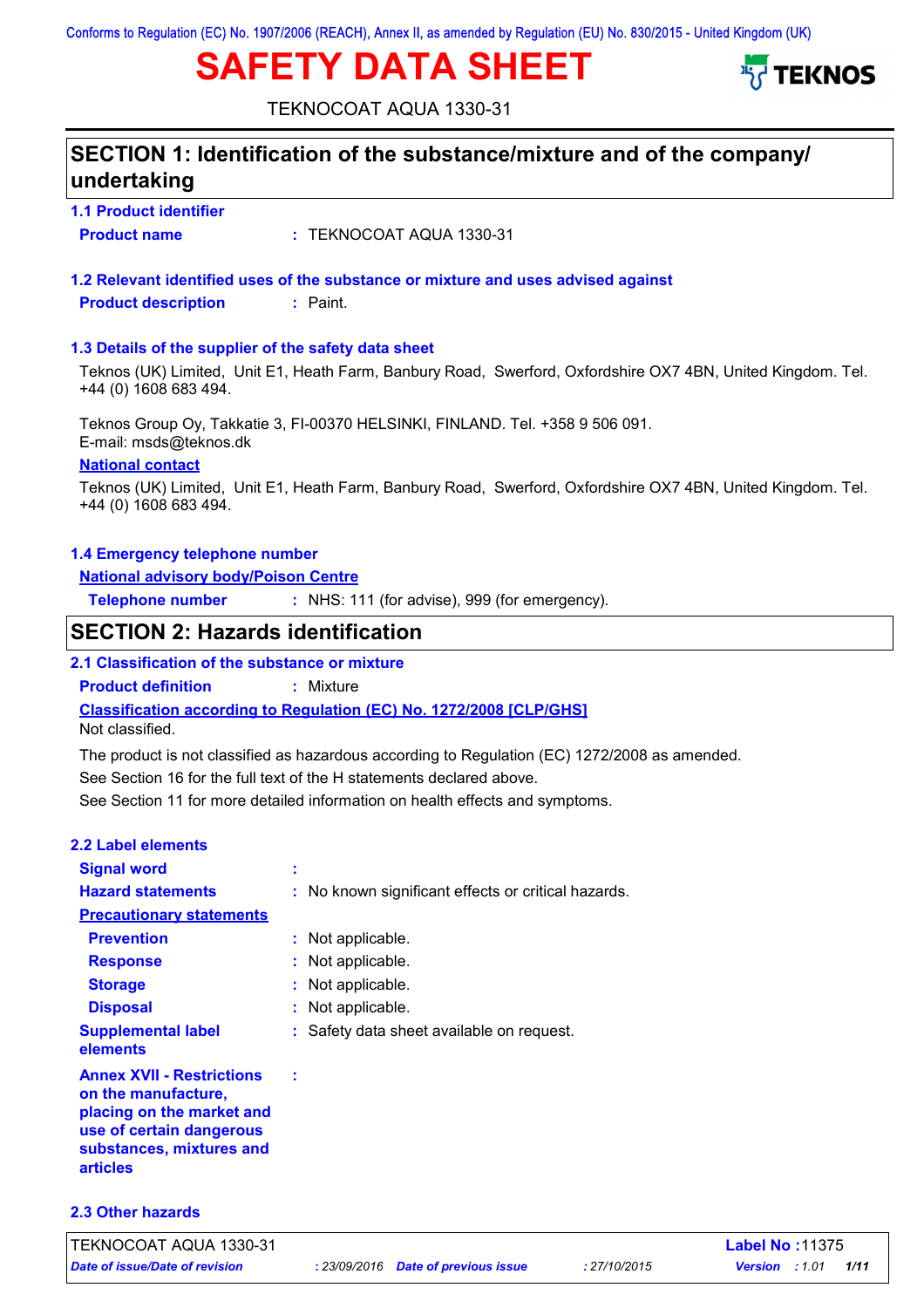# **SAFETY DATA SHEET**



TEKNOCOAT AQUA 1330-31

| SECTION 1: Identification of the substance/mixture and of the company/<br>undertaking |                                                                                                             |  |  |
|---------------------------------------------------------------------------------------|-------------------------------------------------------------------------------------------------------------|--|--|
| <b>1.1 Product identifier</b>                                                         |                                                                                                             |  |  |
| <b>Product name</b>                                                                   | : TEKNOCOAT AQUA 1330-31                                                                                    |  |  |
|                                                                                       | 1.2 Relevant identified uses of the substance or mixture and uses advised against                           |  |  |
| <b>Product description</b>                                                            | $:$ Paint.                                                                                                  |  |  |
| 1.3 Details of the supplier of the safety data sheet                                  |                                                                                                             |  |  |
| +44 (0) 1608 683 494.                                                                 | Teknos (UK) Limited, Unit E1, Heath Farm, Banbury Road, Swerford, Oxfordshire OX7 4BN, United Kingdom. Tel. |  |  |
| E-mail: msds@teknos.dk                                                                | Teknos Group Oy, Takkatie 3, FI-00370 HELSINKI, FINLAND. Tel. +358 9 506 091.                               |  |  |
| <b>National contact</b>                                                               |                                                                                                             |  |  |
| +44 (0) 1608 683 494.                                                                 | Teknos (UK) Limited, Unit E1, Heath Farm, Banbury Road, Swerford, Oxfordshire OX7 4BN, United Kingdom. Tel. |  |  |
| 1.4 Emergency telephone number                                                        |                                                                                                             |  |  |
| <b>National advisory body/Poison Centre</b>                                           |                                                                                                             |  |  |
| <b>Telephone number</b>                                                               | : NHS: 111 (for advise), 999 (for emergency).                                                               |  |  |
| <b>SECTION 2: Hazards identification</b>                                              |                                                                                                             |  |  |
|                                                                                       |                                                                                                             |  |  |
| 2.1 Classification of the substance or mixture                                        |                                                                                                             |  |  |
| <b>Product definition</b>                                                             | : Mixture                                                                                                   |  |  |
| Not classified.                                                                       | <b>Classification according to Regulation (EC) No. 1272/2008 [CLP/GHS]</b>                                  |  |  |
|                                                                                       | The product is not classified as hazardous according to Regulation (EC) 1272/2008 as amended.               |  |  |
|                                                                                       | See Section 16 for the full text of the H statements declared above.                                        |  |  |
|                                                                                       | See Section 11 for more detailed information on health effects and symptoms.                                |  |  |
| <b>2.2 Label elements</b>                                                             |                                                                                                             |  |  |
| <b>Signal word</b>                                                                    |                                                                                                             |  |  |
| <b>Hazard statements</b>                                                              | : No known significant effects or critical hazards.                                                         |  |  |
| <b>Precautionary statements</b>                                                       |                                                                                                             |  |  |
| <b>Prevention</b>                                                                     | : Not applicable.                                                                                           |  |  |
| <b>Response</b>                                                                       | Not applicable.                                                                                             |  |  |
| <b>Storage</b>                                                                        | Not applicable.                                                                                             |  |  |
| <b>Disposal</b>                                                                       | Not applicable.                                                                                             |  |  |
| <b>Supplemental label</b><br>elements                                                 | : Safety data sheet available on request.                                                                   |  |  |

**on the manufacture, placing on the market and use of certain dangerous substances, mixtures and articles**

**2.3 Other hazards**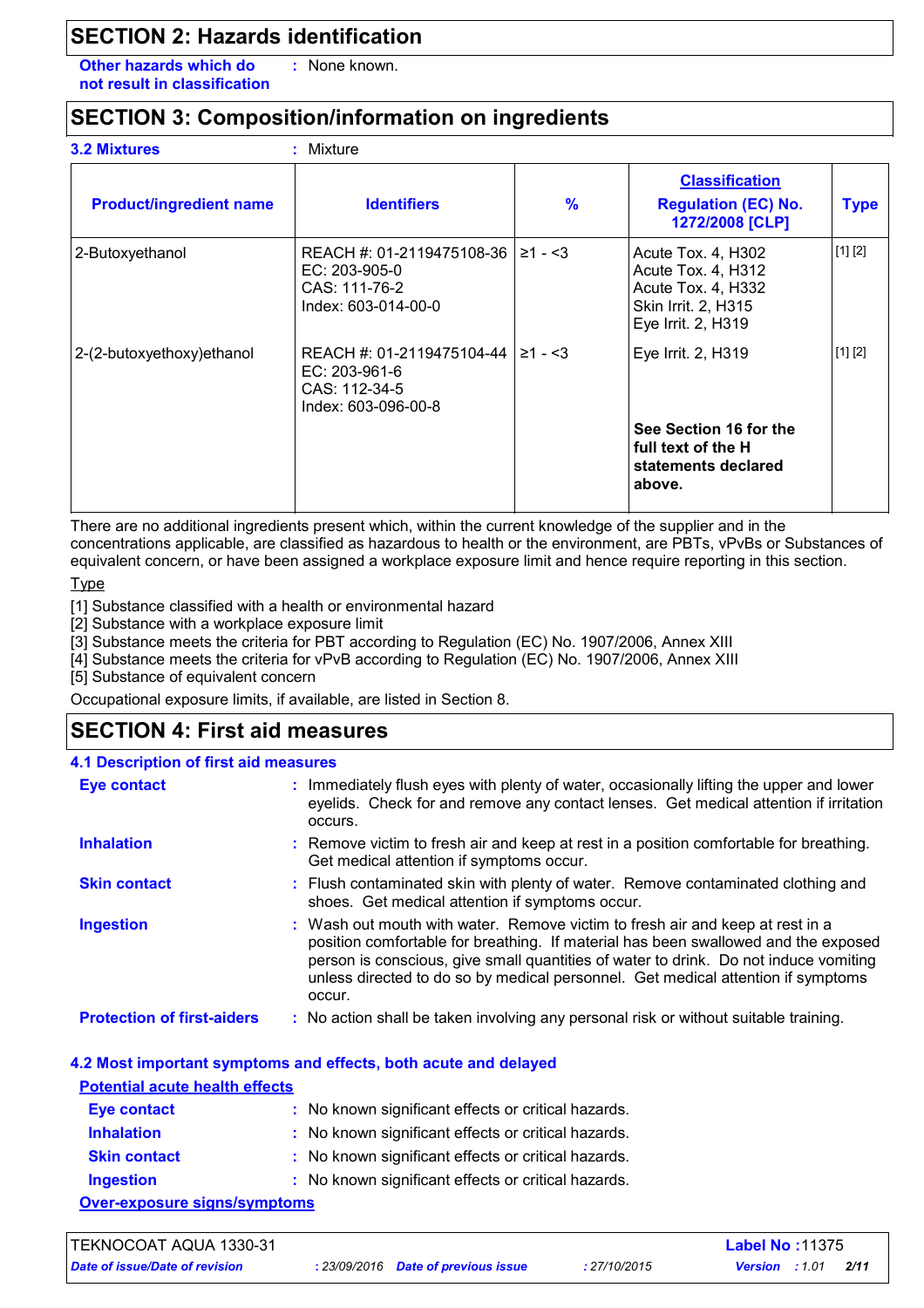### **SECTION 2: Hazards identification**

**Other hazards which do : not result in classification** : None known.

### **SECTION 3: Composition/information on ingredients**

| <b>3.2 Mixtures</b>            | Mixture                                                                            |               |                                                                                                             |             |
|--------------------------------|------------------------------------------------------------------------------------|---------------|-------------------------------------------------------------------------------------------------------------|-------------|
| <b>Product/ingredient name</b> | <b>Identifiers</b>                                                                 | $\frac{9}{6}$ | <b>Classification</b><br><b>Regulation (EC) No.</b><br>1272/2008 [CLP]                                      | <b>Type</b> |
| 2-Butoxyethanol                | REACH #: 01-2119475108-36<br>EC: 203-905-0<br>CAS: 111-76-2<br>Index: 603-014-00-0 | $≥1 - 53$     | Acute Tox. 4, H302<br>Acute Tox. 4, H312<br>Acute Tox. 4, H332<br>Skin Irrit. 2, H315<br>Eye Irrit. 2, H319 | [1] [2]     |
| 2-(2-butoxyethoxy) ethanol     | REACH #: 01-2119475104-44<br>EC: 203-961-6<br>CAS: 112-34-5<br>Index: 603-096-00-8 | $≥1 - 53$     | Eye Irrit. 2, H319                                                                                          | [1] [2]     |
|                                |                                                                                    |               | See Section 16 for the<br>full text of the H<br>statements declared<br>above.                               |             |

There are no additional ingredients present which, within the current knowledge of the supplier and in the concentrations applicable, are classified as hazardous to health or the environment, are PBTs, vPvBs or Substances of equivalent concern, or have been assigned a workplace exposure limit and hence require reporting in this section.

**Type** 

[1] Substance classified with a health or environmental hazard

[2] Substance with a workplace exposure limit

[3] Substance meets the criteria for PBT according to Regulation (EC) No. 1907/2006, Annex XIII

[4] Substance meets the criteria for vPvB according to Regulation (EC) No. 1907/2006, Annex XIII

[5] Substance of equivalent concern

Occupational exposure limits, if available, are listed in Section 8.

### **SECTION 4: First aid measures**

| <b>4.1 Description of first aid measures</b> |                                                                                                                                                                                                                                                                                                                                                           |  |
|----------------------------------------------|-----------------------------------------------------------------------------------------------------------------------------------------------------------------------------------------------------------------------------------------------------------------------------------------------------------------------------------------------------------|--|
| <b>Eye contact</b>                           | : Immediately flush eyes with plenty of water, occasionally lifting the upper and lower<br>eyelids. Check for and remove any contact lenses. Get medical attention if irritation<br>occurs.                                                                                                                                                               |  |
| <b>Inhalation</b>                            | : Remove victim to fresh air and keep at rest in a position comfortable for breathing.<br>Get medical attention if symptoms occur.                                                                                                                                                                                                                        |  |
| <b>Skin contact</b>                          | : Flush contaminated skin with plenty of water. Remove contaminated clothing and<br>shoes. Get medical attention if symptoms occur.                                                                                                                                                                                                                       |  |
| <b>Ingestion</b>                             | : Wash out mouth with water. Remove victim to fresh air and keep at rest in a<br>position comfortable for breathing. If material has been swallowed and the exposed<br>person is conscious, give small quantities of water to drink. Do not induce vomiting<br>unless directed to do so by medical personnel. Get medical attention if symptoms<br>occur. |  |
| <b>Protection of first-aiders</b>            | : No action shall be taken involving any personal risk or without suitable training.                                                                                                                                                                                                                                                                      |  |
|                                              | 4.2 Most important symptoms and effects, both acute and delayed                                                                                                                                                                                                                                                                                           |  |
| <b>Potential acute health effects</b>        |                                                                                                                                                                                                                                                                                                                                                           |  |
| <b>Eye contact</b>                           | : No known significant effects or critical hazards.                                                                                                                                                                                                                                                                                                       |  |
| <b>Inhalation</b>                            | : No known significant effects or critical hazards.                                                                                                                                                                                                                                                                                                       |  |
| <b>Skin contact</b>                          | : No known significant effects or critical hazards.                                                                                                                                                                                                                                                                                                       |  |
|                                              |                                                                                                                                                                                                                                                                                                                                                           |  |

**Ingestion :** No known significant effects or critical hazards.

**Over-exposure signs/symptoms**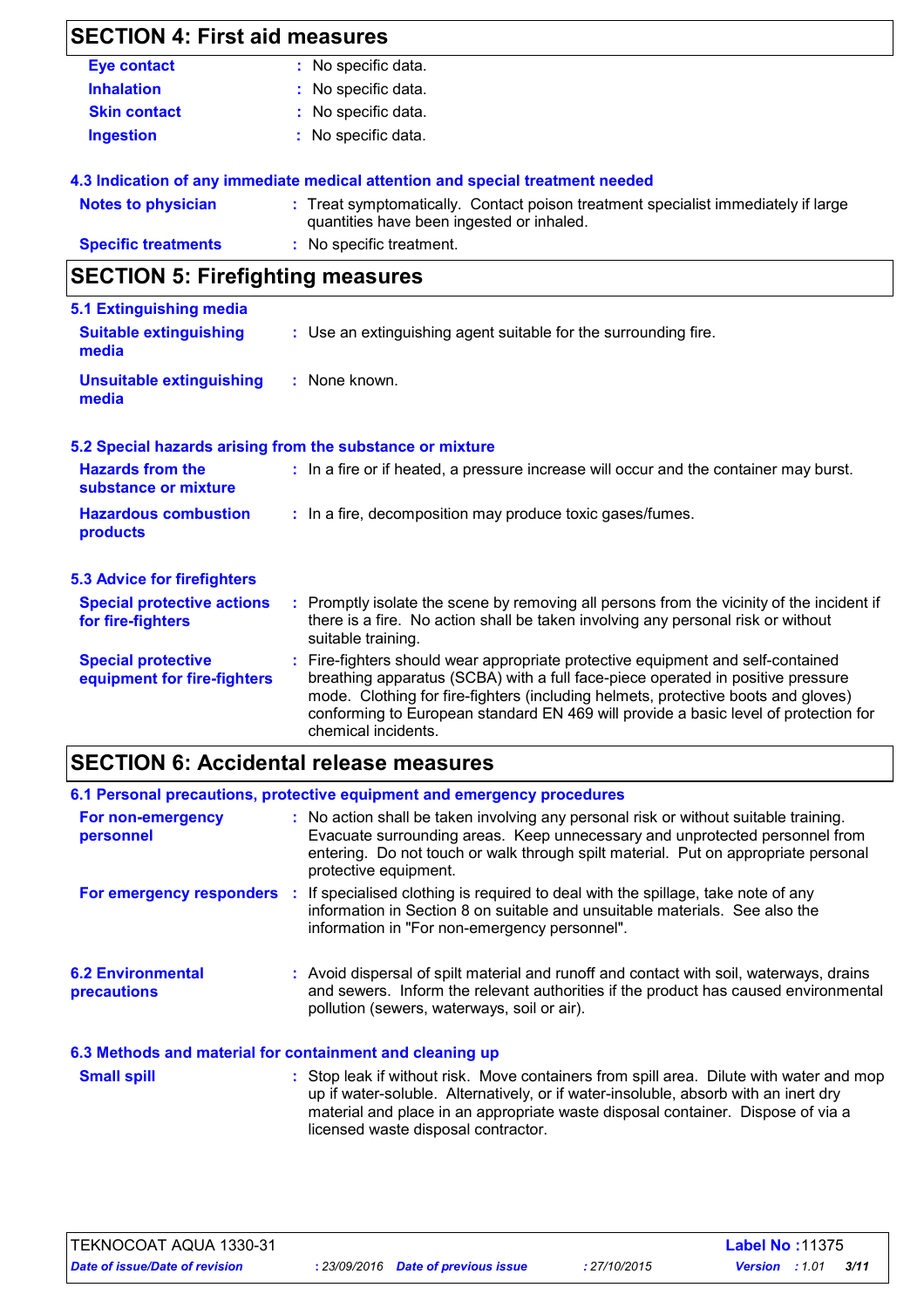| <b>SECTION 4: First aid measures</b>                     |                                                                                                                                                                                                                                                                                                                                                |
|----------------------------------------------------------|------------------------------------------------------------------------------------------------------------------------------------------------------------------------------------------------------------------------------------------------------------------------------------------------------------------------------------------------|
| <b>Eye contact</b>                                       | : No specific data.                                                                                                                                                                                                                                                                                                                            |
| <b>Inhalation</b>                                        | No specific data.                                                                                                                                                                                                                                                                                                                              |
| <b>Skin contact</b>                                      | No specific data.                                                                                                                                                                                                                                                                                                                              |
| <b>Ingestion</b>                                         | : No specific data.                                                                                                                                                                                                                                                                                                                            |
|                                                          | 4.3 Indication of any immediate medical attention and special treatment needed                                                                                                                                                                                                                                                                 |
| <b>Notes to physician</b>                                | : Treat symptomatically. Contact poison treatment specialist immediately if large<br>quantities have been ingested or inhaled.                                                                                                                                                                                                                 |
| <b>Specific treatments</b>                               | : No specific treatment.                                                                                                                                                                                                                                                                                                                       |
| <b>SECTION 5: Firefighting measures</b>                  |                                                                                                                                                                                                                                                                                                                                                |
| 5.1 Extinguishing media                                  |                                                                                                                                                                                                                                                                                                                                                |
| <b>Suitable extinguishing</b><br>media                   | : Use an extinguishing agent suitable for the surrounding fire.                                                                                                                                                                                                                                                                                |
| <b>Unsuitable extinguishing</b><br>media                 | : None known.                                                                                                                                                                                                                                                                                                                                  |
|                                                          | 5.2 Special hazards arising from the substance or mixture                                                                                                                                                                                                                                                                                      |
| <b>Hazards from the</b><br>substance or mixture          | : In a fire or if heated, a pressure increase will occur and the container may burst.                                                                                                                                                                                                                                                          |
| <b>Hazardous combustion</b><br>products                  | : In a fire, decomposition may produce toxic gases/fumes.                                                                                                                                                                                                                                                                                      |
| <b>5.3 Advice for firefighters</b>                       |                                                                                                                                                                                                                                                                                                                                                |
| <b>Special protective actions</b><br>for fire-fighters   | : Promptly isolate the scene by removing all persons from the vicinity of the incident if<br>there is a fire. No action shall be taken involving any personal risk or without<br>suitable training.                                                                                                                                            |
| <b>Special protective</b><br>equipment for fire-fighters | : Fire-fighters should wear appropriate protective equipment and self-contained<br>breathing apparatus (SCBA) with a full face-piece operated in positive pressure<br>mode. Clothing for fire-fighters (including helmets, protective boots and gloves)<br>conforming to European standard EN 469 will provide a basic level of protection for |

### **SECTION 6: Accidental release measures**

chemical incidents.

|                                                          | 6.1 Personal precautions, protective equipment and emergency procedures                                                                                                                                                                                                            |
|----------------------------------------------------------|------------------------------------------------------------------------------------------------------------------------------------------------------------------------------------------------------------------------------------------------------------------------------------|
| For non-emergency<br>personnel                           | : No action shall be taken involving any personal risk or without suitable training.<br>Evacuate surrounding areas. Keep unnecessary and unprotected personnel from<br>entering. Do not touch or walk through spilt material. Put on appropriate personal<br>protective equipment. |
|                                                          | For emergency responders : If specialised clothing is required to deal with the spillage, take note of any<br>information in Section 8 on suitable and unsuitable materials. See also the<br>information in "For non-emergency personnel".                                         |
| <b>6.2 Environmental</b><br>precautions                  | : Avoid dispersal of spilt material and runoff and contact with soil, waterways, drains<br>and sewers. Inform the relevant authorities if the product has caused environmental<br>pollution (sewers, waterways, soil or air).                                                      |
| 6.3 Methods and material for containment and cleaning up |                                                                                                                                                                                                                                                                                    |

#### : Stop leak if without risk. Move containers from spill area. Dilute with water and mop up if water-soluble. Alternatively, or if water-insoluble, absorb with an inert dry material and place in an appropriate waste disposal container. Dispose of via a licensed waste disposal contractor. **Small spill :**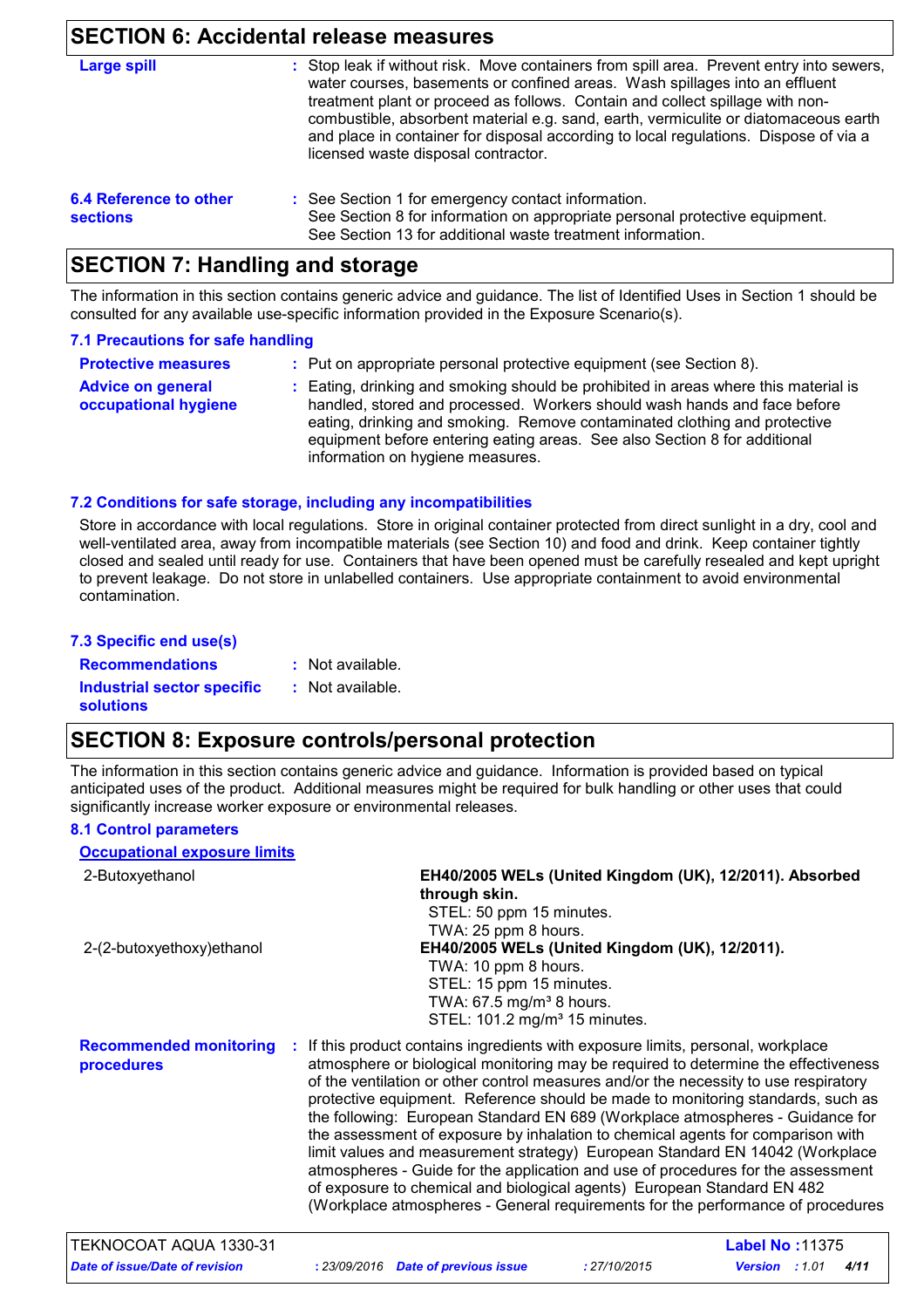### **SECTION 6: Accidental release measures**

|                                           | OLO HON 0. ACCIUGHIAI IGIGASG IIIGASUIGS                                                                                                                                                                                                                                                                                                                                                                                                                                       |
|-------------------------------------------|--------------------------------------------------------------------------------------------------------------------------------------------------------------------------------------------------------------------------------------------------------------------------------------------------------------------------------------------------------------------------------------------------------------------------------------------------------------------------------|
| Large spill                               | : Stop leak if without risk. Move containers from spill area. Prevent entry into sewers,<br>water courses, basements or confined areas. Wash spillages into an effluent<br>treatment plant or proceed as follows. Contain and collect spillage with non-<br>combustible, absorbent material e.g. sand, earth, vermiculite or diatomaceous earth<br>and place in container for disposal according to local regulations. Dispose of via a<br>licensed waste disposal contractor. |
| 6.4 Reference to other<br><b>sections</b> | : See Section 1 for emergency contact information.<br>See Section 8 for information on appropriate personal protective equipment.<br>See Section 13 for additional waste treatment information.                                                                                                                                                                                                                                                                                |

### **SECTION 7: Handling and storage**

The information in this section contains generic advice and guidance. The list of Identified Uses in Section 1 should be consulted for any available use-specific information provided in the Exposure Scenario(s).

#### **7.1 Precautions for safe handling**

| <b>Protective measures</b>                       | : Put on appropriate personal protective equipment (see Section 8).                                                                                                                                                                                                                                                                                           |
|--------------------------------------------------|---------------------------------------------------------------------------------------------------------------------------------------------------------------------------------------------------------------------------------------------------------------------------------------------------------------------------------------------------------------|
| <b>Advice on general</b><br>occupational hygiene | : Eating, drinking and smoking should be prohibited in areas where this material is<br>handled, stored and processed. Workers should wash hands and face before<br>eating, drinking and smoking. Remove contaminated clothing and protective<br>equipment before entering eating areas. See also Section 8 for additional<br>information on hygiene measures. |

#### **7.2 Conditions for safe storage, including any incompatibilities**

Store in accordance with local regulations. Store in original container protected from direct sunlight in a dry, cool and well-ventilated area, away from incompatible materials (see Section 10) and food and drink. Keep container tightly closed and sealed until ready for use. Containers that have been opened must be carefully resealed and kept upright to prevent leakage. Do not store in unlabelled containers. Use appropriate containment to avoid environmental contamination.

| 7.3 Specific end use(s)           |                    |
|-----------------------------------|--------------------|
| <b>Recommendations</b>            | $:$ Not available. |
| <b>Industrial sector specific</b> | : Not available.   |
| <b>solutions</b>                  |                    |

### **SECTION 8: Exposure controls/personal protection**

The information in this section contains generic advice and guidance. Information is provided based on typical anticipated uses of the product. Additional measures might be required for bulk handling or other uses that could significantly increase worker exposure or environmental releases.

#### **8.1 Control parameters**

| <b>Occupational exposure limits</b>         |                                                                                                                                                                                                                                                                                                                                                                                                                                                                                                                                                                                                                                                                                                                                                                                                                                                             |
|---------------------------------------------|-------------------------------------------------------------------------------------------------------------------------------------------------------------------------------------------------------------------------------------------------------------------------------------------------------------------------------------------------------------------------------------------------------------------------------------------------------------------------------------------------------------------------------------------------------------------------------------------------------------------------------------------------------------------------------------------------------------------------------------------------------------------------------------------------------------------------------------------------------------|
| 2-Butoxyethanol                             | EH40/2005 WELs (United Kingdom (UK), 12/2011). Absorbed                                                                                                                                                                                                                                                                                                                                                                                                                                                                                                                                                                                                                                                                                                                                                                                                     |
|                                             | through skin.                                                                                                                                                                                                                                                                                                                                                                                                                                                                                                                                                                                                                                                                                                                                                                                                                                               |
|                                             | STEL: 50 ppm 15 minutes.                                                                                                                                                                                                                                                                                                                                                                                                                                                                                                                                                                                                                                                                                                                                                                                                                                    |
|                                             | TWA: 25 ppm 8 hours.                                                                                                                                                                                                                                                                                                                                                                                                                                                                                                                                                                                                                                                                                                                                                                                                                                        |
| 2-(2-butoxyethoxy) ethanol                  | EH40/2005 WELs (United Kingdom (UK), 12/2011).                                                                                                                                                                                                                                                                                                                                                                                                                                                                                                                                                                                                                                                                                                                                                                                                              |
|                                             | TWA: 10 ppm 8 hours.                                                                                                                                                                                                                                                                                                                                                                                                                                                                                                                                                                                                                                                                                                                                                                                                                                        |
|                                             | STEL: 15 ppm 15 minutes.                                                                                                                                                                                                                                                                                                                                                                                                                                                                                                                                                                                                                                                                                                                                                                                                                                    |
|                                             | TWA: $67.5$ mg/m <sup>3</sup> 8 hours.                                                                                                                                                                                                                                                                                                                                                                                                                                                                                                                                                                                                                                                                                                                                                                                                                      |
|                                             | STEL: 101.2 mg/m <sup>3</sup> 15 minutes.                                                                                                                                                                                                                                                                                                                                                                                                                                                                                                                                                                                                                                                                                                                                                                                                                   |
| <b>Recommended monitoring</b><br>procedures | If this product contains ingredients with exposure limits, personal, workplace<br>÷.<br>atmosphere or biological monitoring may be required to determine the effectiveness<br>of the ventilation or other control measures and/or the necessity to use respiratory<br>protective equipment. Reference should be made to monitoring standards, such as<br>the following: European Standard EN 689 (Workplace atmospheres - Guidance for<br>the assessment of exposure by inhalation to chemical agents for comparison with<br>limit values and measurement strategy) European Standard EN 14042 (Workplace<br>atmospheres - Guide for the application and use of procedures for the assessment<br>of exposure to chemical and biological agents) European Standard EN 482<br>(Workplace atmospheres - General requirements for the performance of procedures |

| TEKNOCOAT AQUA 1330-31         |                                     |              | <b>Label No: 11375</b>        |  |
|--------------------------------|-------------------------------------|--------------|-------------------------------|--|
| Date of issue/Date of revision | : 23/09/2016 Date of previous issue | : 27/10/2015 | 4/11<br><b>Version</b> : 1.01 |  |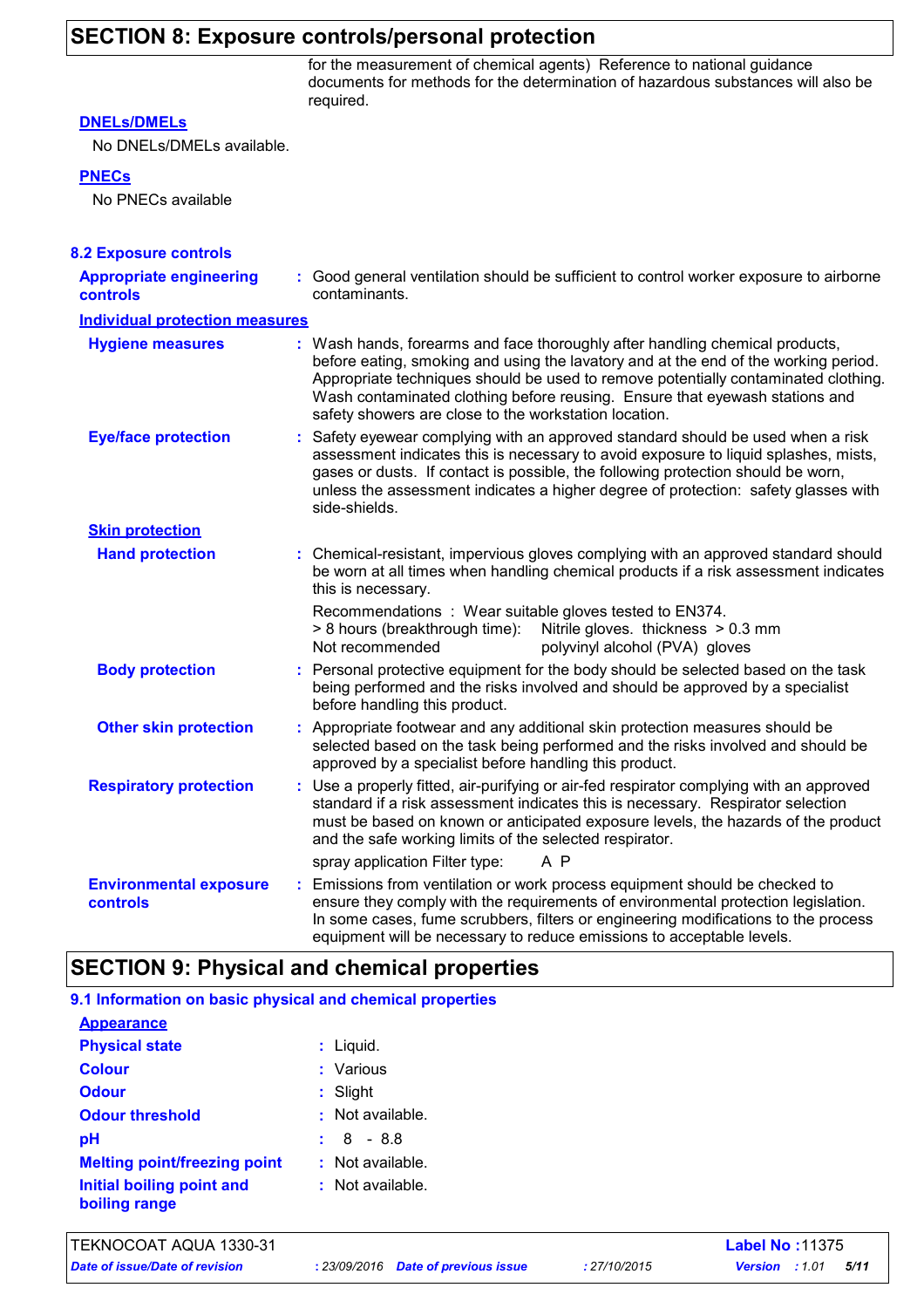### **SECTION 8: Exposure controls/personal protection**

for the measurement of chemical agents) Reference to national guidance documents for methods for the determination of hazardous substances will also be required.

#### **DNELs/DMELs**

No DNELs/DMELs available.

#### **PNECs**

No PNECs available

| <b>8.2 Exposure controls</b>                      |                                                                                                                                                                                                                                                                                                                                                                                                   |
|---------------------------------------------------|---------------------------------------------------------------------------------------------------------------------------------------------------------------------------------------------------------------------------------------------------------------------------------------------------------------------------------------------------------------------------------------------------|
| <b>Appropriate engineering</b><br><b>controls</b> | : Good general ventilation should be sufficient to control worker exposure to airborne<br>contaminants.                                                                                                                                                                                                                                                                                           |
| <b>Individual protection measures</b>             |                                                                                                                                                                                                                                                                                                                                                                                                   |
| <b>Hygiene measures</b>                           | : Wash hands, forearms and face thoroughly after handling chemical products,<br>before eating, smoking and using the lavatory and at the end of the working period.<br>Appropriate techniques should be used to remove potentially contaminated clothing.<br>Wash contaminated clothing before reusing. Ensure that eyewash stations and<br>safety showers are close to the workstation location. |
| <b>Eye/face protection</b>                        | Safety eyewear complying with an approved standard should be used when a risk<br>assessment indicates this is necessary to avoid exposure to liquid splashes, mists,<br>gases or dusts. If contact is possible, the following protection should be worn,<br>unless the assessment indicates a higher degree of protection: safety glasses with<br>side-shields.                                   |
| <b>Skin protection</b>                            |                                                                                                                                                                                                                                                                                                                                                                                                   |
| <b>Hand protection</b>                            | : Chemical-resistant, impervious gloves complying with an approved standard should<br>be worn at all times when handling chemical products if a risk assessment indicates<br>this is necessary.                                                                                                                                                                                                   |
|                                                   | Recommendations : Wear suitable gloves tested to EN374.<br>> 8 hours (breakthrough time):<br>Nitrile gloves. thickness $> 0.3$ mm<br>Not recommended<br>polyvinyl alcohol (PVA) gloves                                                                                                                                                                                                            |
| <b>Body protection</b>                            | : Personal protective equipment for the body should be selected based on the task<br>being performed and the risks involved and should be approved by a specialist<br>before handling this product.                                                                                                                                                                                               |
| <b>Other skin protection</b>                      | : Appropriate footwear and any additional skin protection measures should be<br>selected based on the task being performed and the risks involved and should be<br>approved by a specialist before handling this product.                                                                                                                                                                         |
| <b>Respiratory protection</b>                     | : Use a properly fitted, air-purifying or air-fed respirator complying with an approved<br>standard if a risk assessment indicates this is necessary. Respirator selection<br>must be based on known or anticipated exposure levels, the hazards of the product<br>and the safe working limits of the selected respirator.                                                                        |
|                                                   | spray application Filter type:<br>A P                                                                                                                                                                                                                                                                                                                                                             |
| <b>Environmental exposure</b><br>controls         | : Emissions from ventilation or work process equipment should be checked to<br>ensure they comply with the requirements of environmental protection legislation.<br>In some cases, fume scrubbers, filters or engineering modifications to the process<br>equipment will be necessary to reduce emissions to acceptable levels.                                                                   |

### **SECTION 9: Physical and chemical properties**

| 9.1 Information on basic physical and chemical properties |                  |
|-----------------------------------------------------------|------------------|
| <b>Appearance</b>                                         |                  |
| <b>Physical state</b>                                     | $:$ Liquid.      |
| <b>Colour</b>                                             | : Various        |
| <b>Odour</b>                                              | $:$ Slight       |
| <b>Odour threshold</b>                                    | : Not available. |
| pH                                                        | $: 8 - 8.8$      |
| <b>Melting point/freezing point</b>                       | : Not available. |
| Initial boiling point and<br>boiling range                | : Not available. |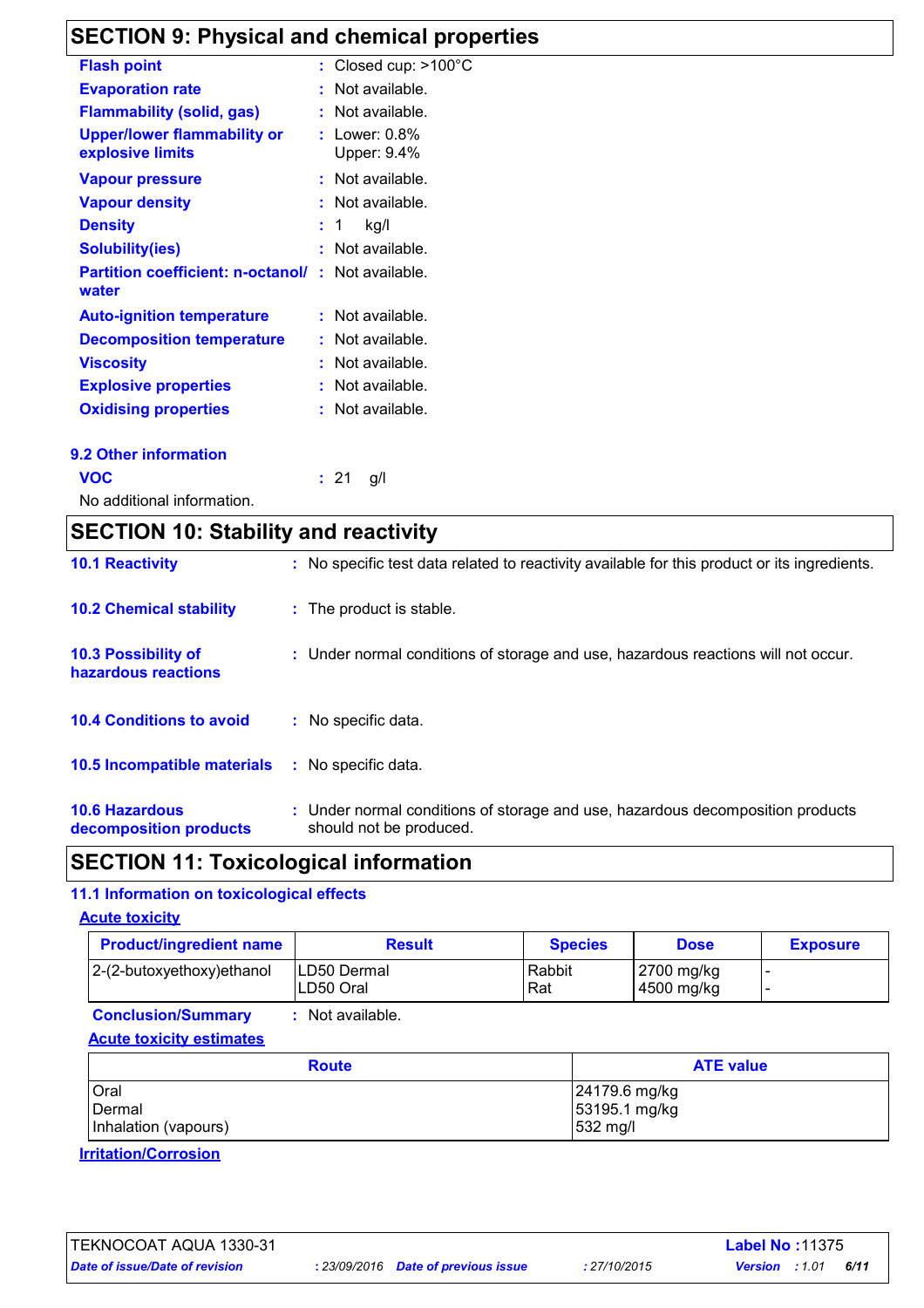## **SECTION 9: Physical and chemical properties**

| <b>Flash point</b>                                     |     | : Closed cup: >100°C          |
|--------------------------------------------------------|-----|-------------------------------|
| <b>Evaporation rate</b>                                |     | Not available.                |
| <b>Flammability (solid, gas)</b>                       |     | Not available.                |
| <b>Upper/lower flammability or</b><br>explosive limits | t   | Lower: $0.8\%$<br>Upper: 9.4% |
| <b>Vapour pressure</b>                                 |     | Not available.                |
| <b>Vapour density</b>                                  |     | Not available.                |
| <b>Density</b>                                         | : 1 | kg/l                          |
| <b>Solubility(ies)</b>                                 |     | Not available.                |
| <b>Partition coefficient: n-octanol/:</b><br>water     |     | Not available.                |
| <b>Auto-ignition temperature</b>                       |     | Not available.                |
| <b>Decomposition temperature</b>                       |     | Not available.                |
| <b>Viscosity</b>                                       |     | Not available.                |
| <b>Explosive properties</b>                            |     | Not available.                |
| <b>Oxidising properties</b>                            |     | Not available.                |
| 9.2 Other information                                  |     |                               |

**VOC :** 21 g/l

No additional information.

| <b>SECTION 10: Stability and reactivity</b>       |                                                                                                           |  |
|---------------------------------------------------|-----------------------------------------------------------------------------------------------------------|--|
| <b>10.1 Reactivity</b>                            | : No specific test data related to reactivity available for this product or its ingredients.              |  |
| <b>10.2 Chemical stability</b>                    | : The product is stable.                                                                                  |  |
| <b>10.3 Possibility of</b><br>hazardous reactions | : Under normal conditions of storage and use, hazardous reactions will not occur.                         |  |
| <b>10.4 Conditions to avoid</b>                   | : No specific data.                                                                                       |  |
| 10.5 Incompatible materials                       | : No specific data.                                                                                       |  |
| <b>10.6 Hazardous</b><br>decomposition products   | : Under normal conditions of storage and use, hazardous decomposition products<br>should not be produced. |  |

### **SECTION 11: Toxicological information**

### **11.1 Information on toxicological effects**

#### **Acute toxicity**

| <b>Product/ingredient name</b> | <b>Result</b>              | <b>Species</b> | <b>Dose</b>              | <b>Exposure</b> |
|--------------------------------|----------------------------|----------------|--------------------------|-----------------|
| 2-(2-butoxyethoxy) ethanol     | ILD50 Dermal<br>ıLD50 Oral | Rabbit<br>Rat  | 2700 mg/kg<br>4500 mg/kg |                 |

**Conclusion/Summary :** Not available.

#### **Acute toxicity estimates**

| <b>Route</b>         | <b>ATE value</b> |
|----------------------|------------------|
| Oral                 | 24179.6 mg/kg    |
| l Dermal             | 53195.1 mg/kg    |
| Inhalation (vapours) | 532 mg/l         |

### **Irritation/Corrosion**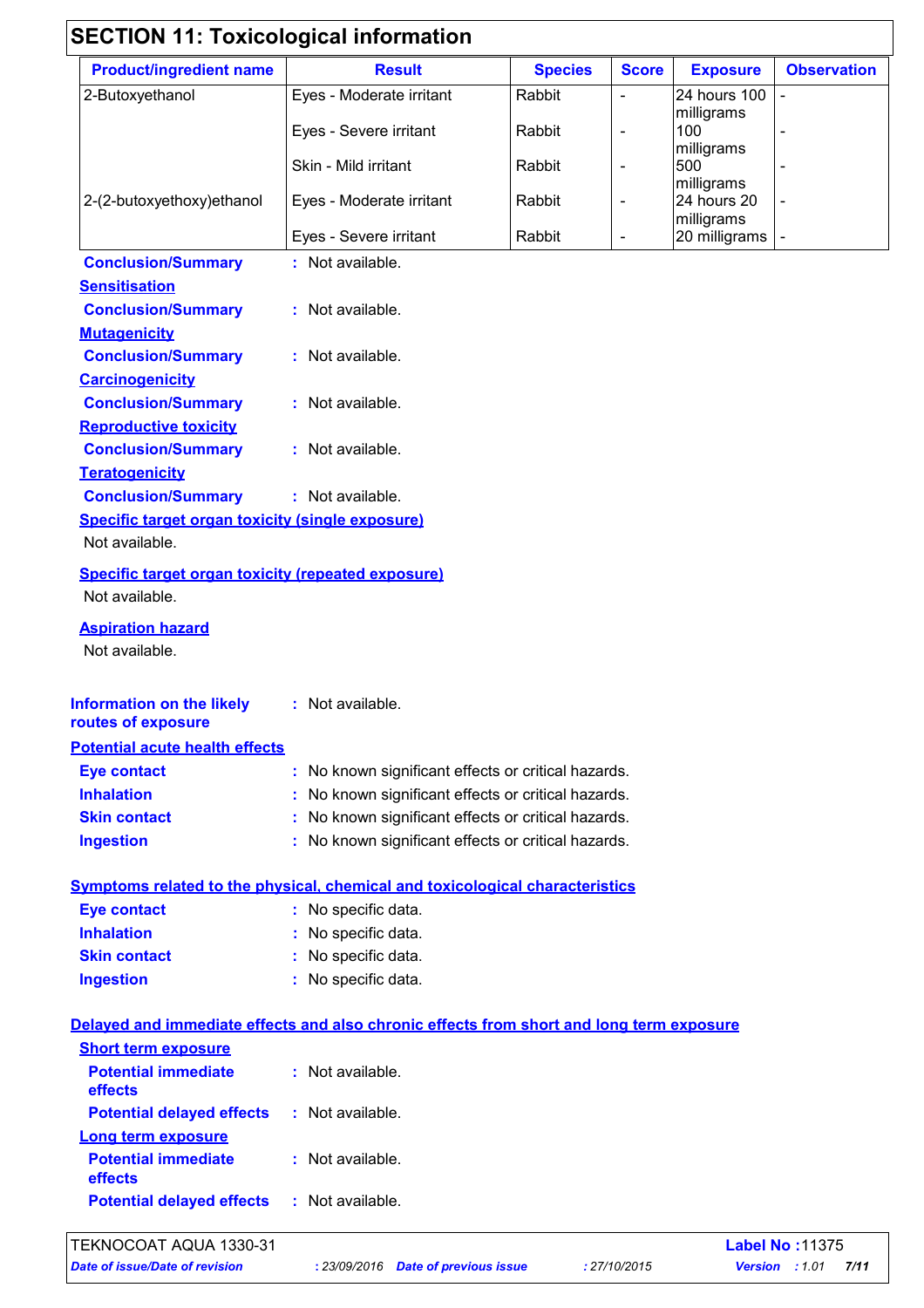| <b>Product/ingredient name</b>                            | <b>Result</b>                                       | <b>Species</b> | <b>Score</b>             | <b>Exposure</b>           | <b>Observation</b>       |
|-----------------------------------------------------------|-----------------------------------------------------|----------------|--------------------------|---------------------------|--------------------------|
| 2-Butoxyethanol                                           | Eyes - Moderate irritant                            | Rabbit         | $\overline{a}$           | 24 hours 100              |                          |
|                                                           | Eyes - Severe irritant                              | Rabbit         | $\overline{\phantom{a}}$ | milligrams<br>100         |                          |
|                                                           | Skin - Mild irritant                                | Rabbit         | $\blacksquare$           | milligrams<br>500         |                          |
|                                                           |                                                     |                |                          | milligrams<br>24 hours 20 |                          |
| 2-(2-butoxyethoxy)ethanol                                 | Eyes - Moderate irritant                            | Rabbit         | $\blacksquare$           | milligrams                |                          |
|                                                           | Eyes - Severe irritant                              | Rabbit         | $\overline{\phantom{a}}$ | 20 milligrams             | $\overline{\phantom{a}}$ |
| <b>Conclusion/Summary</b>                                 | : Not available.                                    |                |                          |                           |                          |
| <b>Sensitisation</b>                                      |                                                     |                |                          |                           |                          |
| <b>Conclusion/Summary</b>                                 | : Not available.                                    |                |                          |                           |                          |
| <b>Mutagenicity</b>                                       |                                                     |                |                          |                           |                          |
| <b>Conclusion/Summary</b>                                 | : Not available.                                    |                |                          |                           |                          |
| <b>Carcinogenicity</b>                                    |                                                     |                |                          |                           |                          |
| <b>Conclusion/Summary</b>                                 | : Not available.                                    |                |                          |                           |                          |
| <b>Reproductive toxicity</b>                              |                                                     |                |                          |                           |                          |
| <b>Conclusion/Summary</b>                                 | : Not available.                                    |                |                          |                           |                          |
| <b>Teratogenicity</b>                                     |                                                     |                |                          |                           |                          |
| <b>Conclusion/Summary</b>                                 | : Not available.                                    |                |                          |                           |                          |
| Specific target organ toxicity (single exposure)          |                                                     |                |                          |                           |                          |
| Not available.                                            |                                                     |                |                          |                           |                          |
| <b>Specific target organ toxicity (repeated exposure)</b> |                                                     |                |                          |                           |                          |
| Not available.                                            |                                                     |                |                          |                           |                          |
| <b>Aspiration hazard</b>                                  |                                                     |                |                          |                           |                          |
| Not available.                                            |                                                     |                |                          |                           |                          |
|                                                           |                                                     |                |                          |                           |                          |
| <b>Information on the likely</b>                          | : Not available.                                    |                |                          |                           |                          |
| routes of exposure                                        |                                                     |                |                          |                           |                          |
| <b>Potential acute health effects</b>                     |                                                     |                |                          |                           |                          |
| <b>Eye contact</b>                                        | : No known significant effects or critical hazards. |                |                          |                           |                          |
| <b>Inhalation</b>                                         | No known significant effects or critical hazards.   |                |                          |                           |                          |
| <b>Skin contact</b>                                       | No known significant effects or critical hazards.   |                |                          |                           |                          |
| <b>Ingestion</b>                                          | No known significant effects or critical hazards.   |                |                          |                           |                          |

#### **Symptoms related to the physical, chemical and toxicological characteristics**

| <b>Eye contact</b>  | : No specific data. |
|---------------------|---------------------|
| <b>Inhalation</b>   | : No specific data. |
| <b>Skin contact</b> | : No specific data. |
| <b>Ingestion</b>    | : No specific data. |

### **Delayed and immediate effects and also chronic effects from short and long term exposure**

| <b>Short term exposure</b>            |                     |
|---------------------------------------|---------------------|
| <b>Potential immediate</b><br>effects | Not available<br>٠. |
| <b>Potential delayed effects</b>      | : Not available.    |
| Long term exposure                    |                     |
| <b>Potential immediate</b><br>effects | : Not available.    |
| <b>Potential delayed effects</b>      | : Not available.    |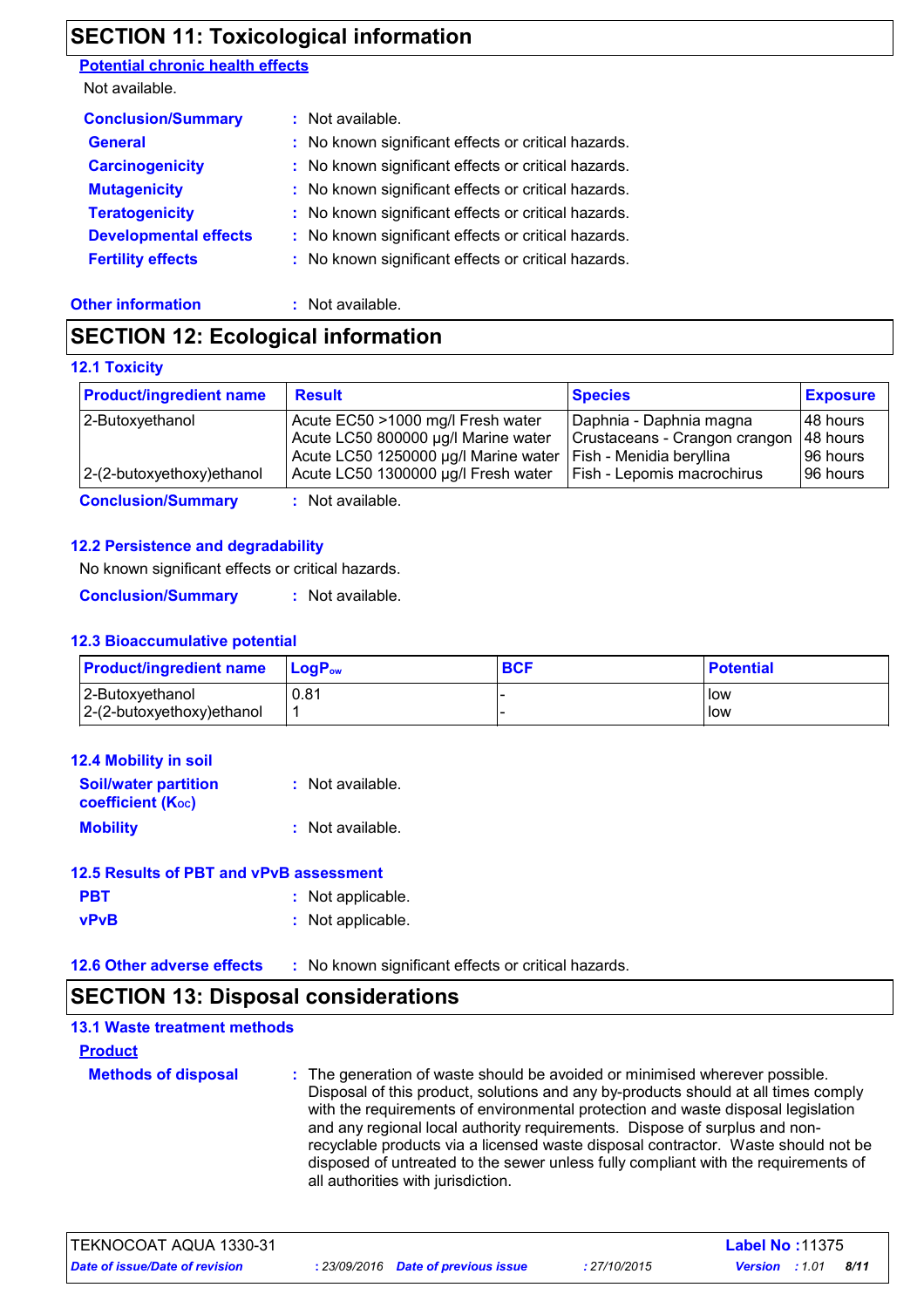### **SECTION 11: Toxicological information**

#### **Potential chronic health effects**

Not available.

| <b>Conclusion/Summary</b>    | : Not available.                                    |
|------------------------------|-----------------------------------------------------|
| <b>General</b>               | : No known significant effects or critical hazards. |
| <b>Carcinogenicity</b>       | : No known significant effects or critical hazards. |
| <b>Mutagenicity</b>          | : No known significant effects or critical hazards. |
| <b>Teratogenicity</b>        | : No known significant effects or critical hazards. |
| <b>Developmental effects</b> | : No known significant effects or critical hazards. |
| <b>Fertility effects</b>     | : No known significant effects or critical hazards. |

#### **Other information :** Not available.

### **SECTION 12: Ecological information**

### **12.1 Toxicity**

| <b>Product/ingredient name</b> | <b>Result</b>                                                                                                    | <b>Species</b>                                                                       | <b>Exposure</b>                   |
|--------------------------------|------------------------------------------------------------------------------------------------------------------|--------------------------------------------------------------------------------------|-----------------------------------|
| 2-Butoxyethanol                | Acute EC50 >1000 mg/l Fresh water<br>Acute LC50 800000 µg/l Marine water<br>Acute LC50 1250000 µg/l Marine water | Daphnia - Daphnia magna<br>Crustaceans - Crangon crangon<br>Fish - Menidia beryllina | 148 hours<br>48 hours<br>96 hours |
| 2-(2-butoxyethoxy)ethanol      | Acute LC50 1300000 µg/l Fresh water                                                                              | Fish - Lepomis macrochirus                                                           | 96 hours                          |
| <b>Conclusion/Summary</b>      | Not available.                                                                                                   |                                                                                      |                                   |

#### **12.2 Persistence and degradability**

No known significant effects or critical hazards.

**Conclusion/Summary :** Not available.

#### **12.3 Bioaccumulative potential**

| <b>Product/ingredient name</b> | <b>LogP</b> <sub>ow</sub> | <b>BCF</b> | <b>Potential</b> |
|--------------------------------|---------------------------|------------|------------------|
| 2-Butoxyethanol                | 0.81                      |            | low              |
| $ 2-(2-butoxyethoxy)ethanol$   |                           |            | l low            |

| <b>12.4 Mobility in soil</b>                            |                  |
|---------------------------------------------------------|------------------|
| <b>Soil/water partition</b><br><b>coefficient (Koc)</b> | : Not available. |
| <b>Mobility</b>                                         | : Not available. |

### **12.5 Results of PBT and vPvB assessment**

- **PBT :** Not applicable. **vPvB :** Not applicable.
- **12.6 Other adverse effects** : No known significant effects or critical hazards.

### **SECTION 13: Disposal considerations**

#### **Methods of disposal : 13.1 Waste treatment methods Product** The generation of waste should be avoided or minimised wherever possible. Disposal of this product, solutions and any by-products should at all times comply with the requirements of environmental protection and waste disposal legislation and any regional local authority requirements. Dispose of surplus and nonrecyclable products via a licensed waste disposal contractor. Waste should not be disposed of untreated to the sewer unless fully compliant with the requirements of all authorities with jurisdiction.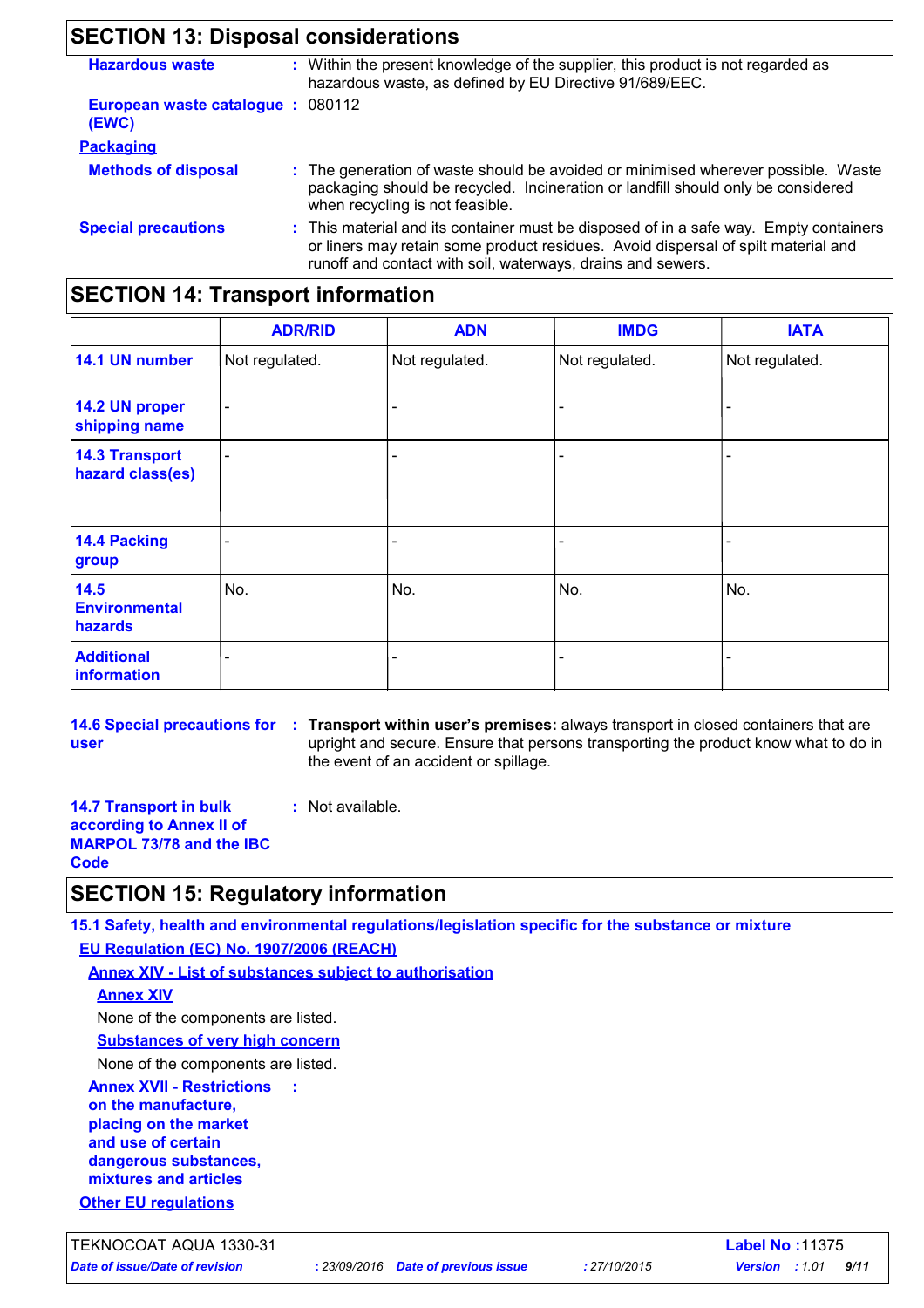### **SECTION 13: Disposal considerations**

| <b>Hazardous waste</b>             | : Within the present knowledge of the supplier, this product is not regarded as<br>hazardous waste, as defined by EU Directive 91/689/EEC.                                                                                                |
|------------------------------------|-------------------------------------------------------------------------------------------------------------------------------------------------------------------------------------------------------------------------------------------|
| European waste catalogue:<br>(EWC) | 080112                                                                                                                                                                                                                                    |
| <b>Packaging</b>                   |                                                                                                                                                                                                                                           |
| <b>Methods of disposal</b>         | : The generation of waste should be avoided or minimised wherever possible. Waste<br>packaging should be recycled. Incineration or landfill should only be considered<br>when recycling is not feasible.                                  |
| <b>Special precautions</b>         | : This material and its container must be disposed of in a safe way. Empty containers<br>or liners may retain some product residues. Avoid dispersal of spilt material and<br>runoff and contact with soil, waterways, drains and sewers. |

### **SECTION 14: Transport information**

|                                           | <b>ADR/RID</b> | <b>ADN</b>     | <b>IMDG</b>    | <b>IATA</b>    |  |
|-------------------------------------------|----------------|----------------|----------------|----------------|--|
| 14.1 UN number                            | Not regulated. | Not regulated. | Not regulated. | Not regulated. |  |
| 14.2 UN proper<br>shipping name           |                |                |                |                |  |
| <b>14.3 Transport</b><br>hazard class(es) |                |                |                |                |  |
| <b>14.4 Packing</b><br>group              |                |                |                |                |  |
| 14.5<br><b>Environmental</b><br>hazards   | No.            | No.            | No.            | No.            |  |
| <b>Additional</b><br>information          |                |                |                |                |  |

**user**

**14.6 Special precautions for : Transport within user's premises: always transport in closed containers that are** upright and secure. Ensure that persons transporting the product know what to do in the event of an accident or spillage.

**14.7 Transport in bulk according to Annex II of MARPOL 73/78 and the IBC Code :** Not available.

### **SECTION 15: Regulatory information**

**15.1 Safety, health and environmental regulations/legislation specific for the substance or mixture EU Regulation (EC) No. 1907/2006 (REACH)**

**Annex XIV - List of substances subject to authorisation**

#### **Annex XIV**

None of the components are listed.

**Substances of very high concern**

None of the components are listed.

**Annex XVII - Restrictions on the manufacture, placing on the market and use of certain dangerous substances, mixtures and articles :**

**Other EU regulations**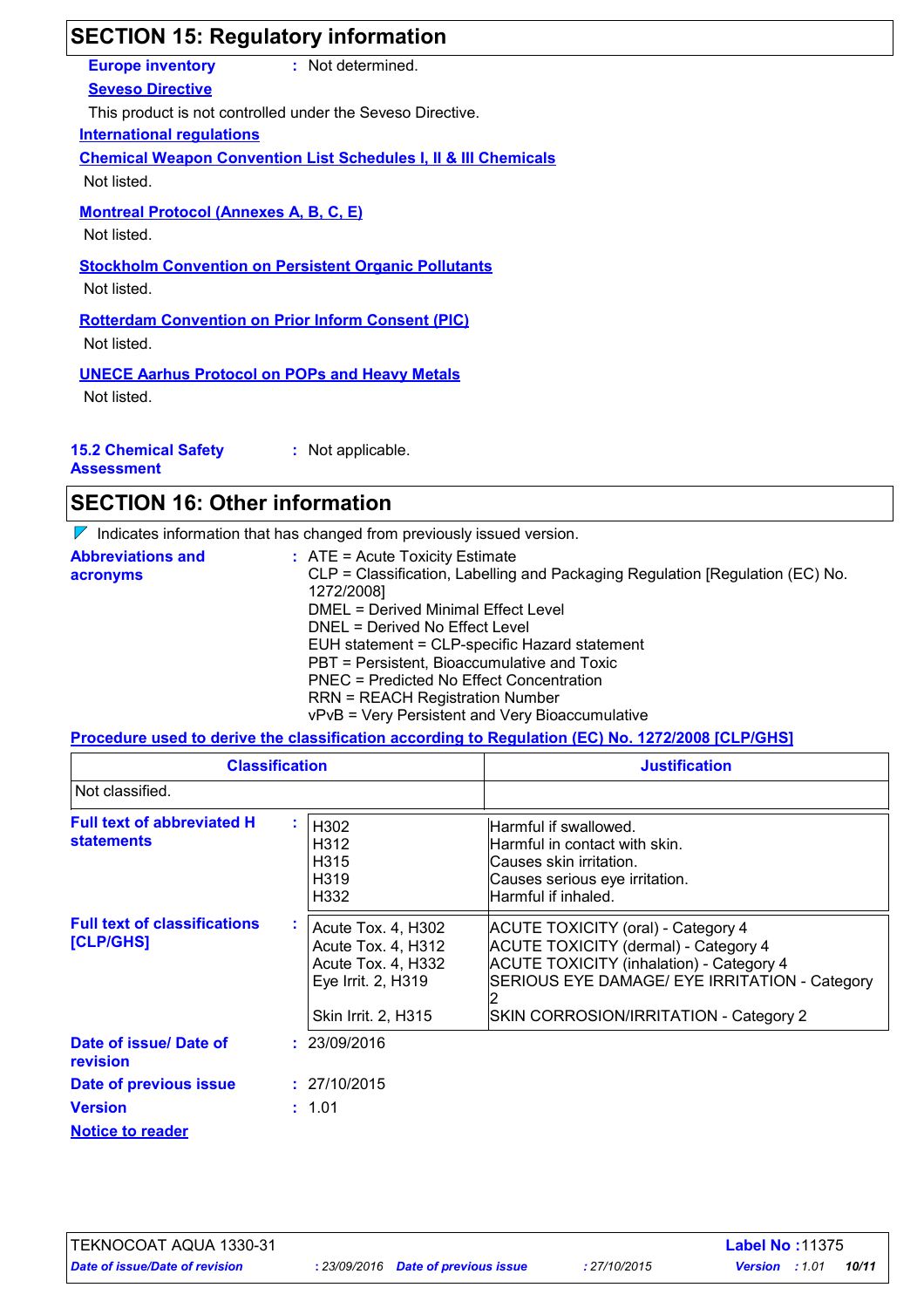### **SECTION 15: Regulatory information**

**Europe inventory :** Not determined.

**Seveso Directive**

This product is not controlled under the Seveso Directive.

**International regulations**

**Chemical Weapon Convention List Schedules I, II & III Chemicals**

Not listed.

### **Montreal Protocol (Annexes A, B, C, E)**

Not listed.

### **Stockholm Convention on Persistent Organic Pollutants**

Not listed.

### **Rotterdam Convention on Prior Inform Consent (PIC)**

Not listed.

### **UNECE Aarhus Protocol on POPs and Heavy Metals**

Not listed.

| <b>15.2 Chemical Safety</b> | : Not applicable. |
|-----------------------------|-------------------|
|                             |                   |

**Assessment**

### **SECTION 16: Other information**

 $\nabla$  Indicates information that has changed from previously issued version.

| <b>Abbreviations and</b> | $\therefore$ ATE = Acute Toxicity Estimate                                                  |
|--------------------------|---------------------------------------------------------------------------------------------|
| acronyms                 | CLP = Classification, Labelling and Packaging Regulation [Regulation (EC) No.<br>1272/2008] |
|                          | DMEL = Derived Minimal Effect Level                                                         |
|                          | DNEL = Derived No Effect Level                                                              |
|                          | EUH statement = CLP-specific Hazard statement                                               |
|                          | PBT = Persistent, Bioaccumulative and Toxic                                                 |
|                          | PNEC = Predicted No Effect Concentration                                                    |
|                          | <b>RRN = REACH Registration Number</b>                                                      |
|                          | vPvB = Very Persistent and Very Bioaccumulative                                             |

#### **Procedure used to derive the classification according to Regulation (EC) No. 1272/2008 [CLP/GHS]**

| <b>Classification</b><br>Not classified.         |    |                                                                                                             | <b>Justification</b>                                                                                                                                                                                                     |  |
|--------------------------------------------------|----|-------------------------------------------------------------------------------------------------------------|--------------------------------------------------------------------------------------------------------------------------------------------------------------------------------------------------------------------------|--|
|                                                  |    |                                                                                                             |                                                                                                                                                                                                                          |  |
| <b>Full text of classifications</b><br>[CLP/GHS] | ÷. | Acute Tox. 4, H302<br>Acute Tox. 4, H312<br>Acute Tox. 4, H332<br>Eye Irrit. 2, H319<br>Skin Irrit. 2, H315 | ACUTE TOXICITY (oral) - Category 4<br>ACUTE TOXICITY (dermal) - Category 4<br><b>ACUTE TOXICITY (inhalation) - Category 4</b><br>SERIOUS EYE DAMAGE/ EYE IRRITATION - Category<br>SKIN CORROSION/IRRITATION - Category 2 |  |
| Date of issue/ Date of<br>revision               |    | : 23/09/2016                                                                                                |                                                                                                                                                                                                                          |  |
| Date of previous issue                           |    | : 27/10/2015                                                                                                |                                                                                                                                                                                                                          |  |
| <b>Version</b>                                   |    | : 1.01                                                                                                      |                                                                                                                                                                                                                          |  |
| <b>Notice to reader</b>                          |    |                                                                                                             |                                                                                                                                                                                                                          |  |